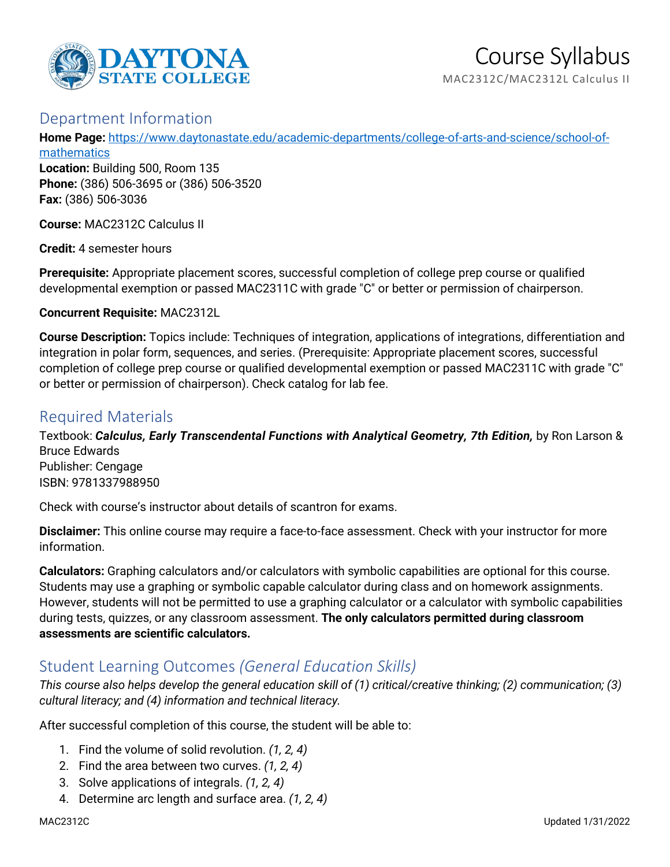

## Department Information

**Home Page:** [https://www.daytonastate.edu/academic-departments/college-of-arts-and-science/school-of](https://www.daytonastate.edu/academic-departments/college-of-arts-and-science/school-of-mathematics)[mathematics](https://www.daytonastate.edu/academic-departments/college-of-arts-and-science/school-of-mathematics)

**Location:** Building 500, Room 135 **Phone:** (386) 506-3695 or (386) 506-3520 **Fax:** (386) 506-3036

**Course:** MAC2312C Calculus II

**Credit:** 4 semester hours

**Prerequisite:** Appropriate placement scores, successful completion of college prep course or qualified developmental exemption or passed MAC2311C with grade "C" or better or permission of chairperson.

**Concurrent Requisite:** MAC2312L

**Course Description:** Topics include: Techniques of integration, applications of integrations, differentiation and integration in polar form, sequences, and series. (Prerequisite: Appropriate placement scores, successful completion of college prep course or qualified developmental exemption or passed MAC2311C with grade "C" or better or permission of chairperson). Check catalog for lab fee.

# Required Materials

Textbook: *Calculus, Early Transcendental Functions with Analytical Geometry, 7th Edition,* by Ron Larson & Bruce Edwards Publisher: Cengage ISBN: 9781337988950

Check with course's instructor about details of scantron for exams.

**Disclaimer:** This online course may require a face-to-face assessment. Check with your instructor for more information.

**Calculators:** Graphing calculators and/or calculators with symbolic capabilities are optional for this course. Students may use a graphing or symbolic capable calculator during class and on homework assignments. However, students will not be permitted to use a graphing calculator or a calculator with symbolic capabilities during tests, quizzes, or any classroom assessment. **The only calculators permitted during classroom assessments are scientific calculators.**

# Student Learning Outcomes *(General Education Skills)*

*This course also helps develop the general education skill of (1) critical/creative thinking; (2) communication; (3) cultural literacy; and (4) information and technical literacy.*

After successful completion of this course, the student will be able to:

- 1. Find the volume of solid revolution. *(1, 2, 4)*
- 2. Find the area between two curves. *(1, 2, 4)*
- 3. Solve applications of integrals. *(1, 2, 4)*
- 4. Determine arc length and surface area. *(1, 2, 4)*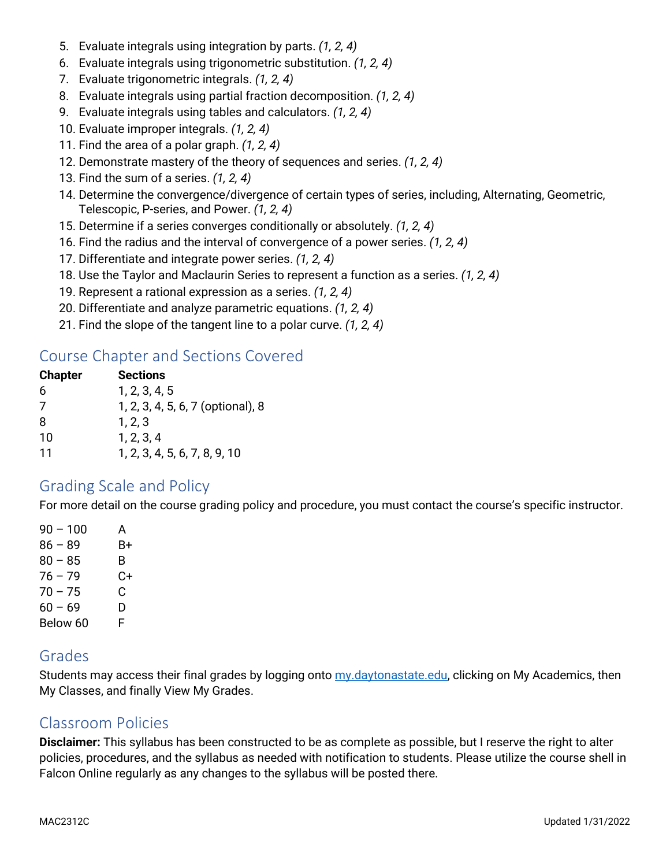- 5. Evaluate integrals using integration by parts. *(1, 2, 4)*
- 6. Evaluate integrals using trigonometric substitution. *(1, 2, 4)*
- 7. Evaluate trigonometric integrals. *(1, 2, 4)*
- 8. Evaluate integrals using partial fraction decomposition. *(1, 2, 4)*
- 9. Evaluate integrals using tables and calculators. *(1, 2, 4)*
- 10. Evaluate improper integrals. *(1, 2, 4)*
- 11. Find the area of a polar graph. *(1, 2, 4)*
- 12. Demonstrate mastery of the theory of sequences and series. *(1, 2, 4)*
- 13. Find the sum of a series. *(1, 2, 4)*
- 14. Determine the convergence/divergence of certain types of series, including, Alternating, Geometric, Telescopic, P-series, and Power. *(1, 2, 4)*
- 15. Determine if a series converges conditionally or absolutely. *(1, 2, 4)*
- 16. Find the radius and the interval of convergence of a power series. *(1, 2, 4)*
- 17. Differentiate and integrate power series. *(1, 2, 4)*
- 18. Use the Taylor and Maclaurin Series to represent a function as a series. *(1, 2, 4)*
- 19. Represent a rational expression as a series. *(1, 2, 4)*
- 20. Differentiate and analyze parametric equations. *(1, 2, 4)*
- 21. Find the slope of the tangent line to a polar curve. *(1, 2, 4)*

## Course Chapter and Sections Covered

| <b>Sections</b>                   |
|-----------------------------------|
| 1, 2, 3, 4, 5                     |
| 1, 2, 3, 4, 5, 6, 7 (optional), 8 |
| 1, 2, 3                           |
| 1, 2, 3, 4                        |
| 1, 2, 3, 4, 5, 6, 7, 8, 9, 10     |
|                                   |

#### Grading Scale and Policy

For more detail on the course grading policy and procedure, you must contact the course's specific instructor.

 $90 - 100$  A  $86 - 89$  B+  $80 - 85$  B  $76 - 79$  C+  $70 - 75$  C  $60 - 69$  D Below 60 F

# Grades

Students may access their final grades by logging onto [my.daytonastate.edu,](https://my.daytonastate.edu/) clicking on My Academics, then My Classes, and finally View My Grades.

## Classroom Policies

**Disclaimer:** This syllabus has been constructed to be as complete as possible, but I reserve the right to alter policies, procedures, and the syllabus as needed with notification to students. Please utilize the course shell in Falcon Online regularly as any changes to the syllabus will be posted there.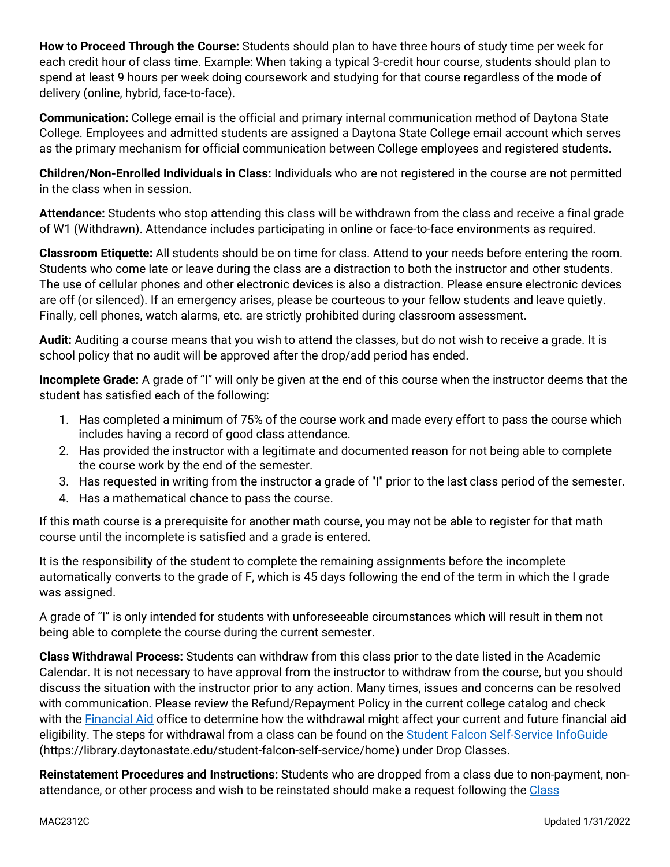**How to Proceed Through the Course:** Students should plan to have three hours of study time per week for each credit hour of class time. Example: When taking a typical 3-credit hour course, students should plan to spend at least 9 hours per week doing coursework and studying for that course regardless of the mode of delivery (online, hybrid, face-to-face).

**Communication:** College email is the official and primary internal communication method of Daytona State College. Employees and admitted students are assigned a Daytona State College email account which serves as the primary mechanism for official communication between College employees and registered students.

**Children/Non-Enrolled Individuals in Class:** Individuals who are not registered in the course are not permitted in the class when in session.

**Attendance:** Students who stop attending this class will be withdrawn from the class and receive a final grade of W1 (Withdrawn). Attendance includes participating in online or face-to-face environments as required.

**Classroom Etiquette:** All students should be on time for class. Attend to your needs before entering the room. Students who come late or leave during the class are a distraction to both the instructor and other students. The use of cellular phones and other electronic devices is also a distraction. Please ensure electronic devices are off (or silenced). If an emergency arises, please be courteous to your fellow students and leave quietly. Finally, cell phones, watch alarms, etc. are strictly prohibited during classroom assessment.

**Audit:** Auditing a course means that you wish to attend the classes, but do not wish to receive a grade. It is school policy that no audit will be approved after the drop/add period has ended.

**Incomplete Grade:** A grade of "I" will only be given at the end of this course when the instructor deems that the student has satisfied each of the following:

- 1. Has completed a minimum of 75% of the course work and made every effort to pass the course which includes having a record of good class attendance.
- 2. Has provided the instructor with a legitimate and documented reason for not being able to complete the course work by the end of the semester.
- 3. Has requested in writing from the instructor a grade of "I" prior to the last class period of the semester.
- 4. Has a mathematical chance to pass the course.

If this math course is a prerequisite for another math course, you may not be able to register for that math course until the incomplete is satisfied and a grade is entered.

It is the responsibility of the student to complete the remaining assignments before the incomplete automatically converts to the grade of F, which is 45 days following the end of the term in which the I grade was assigned.

A grade of "I" is only intended for students with unforeseeable circumstances which will result in them not being able to complete the course during the current semester.

**Class Withdrawal Process:** Students can withdraw from this class prior to the date listed in the Academic Calendar. It is not necessary to have approval from the instructor to withdraw from the course, but you should discuss the situation with the instructor prior to any action. Many times, issues and concerns can be resolved with communication. Please review the Refund/Repayment Policy in the current college catalog and check with the [Financial Aid](https://www.daytonastate.edu/financial-aid) office to determine how the withdrawal might affect your current and future financial aid eligibility. The steps for withdrawal from a class can be found on the [Student Falcon Self-Service InfoGuide](https://library.daytonastate.edu/student-falcon-self-service/home) (https://library.daytonastate.edu/student-falcon-self-service/home) under Drop Classes.

**Reinstatement Procedures and Instructions:** Students who are dropped from a class due to non-payment, nonattendance, or other process and wish to be reinstated should make a request following the [Class](https://www.daytonastate.edu/enrollment-information/index.html)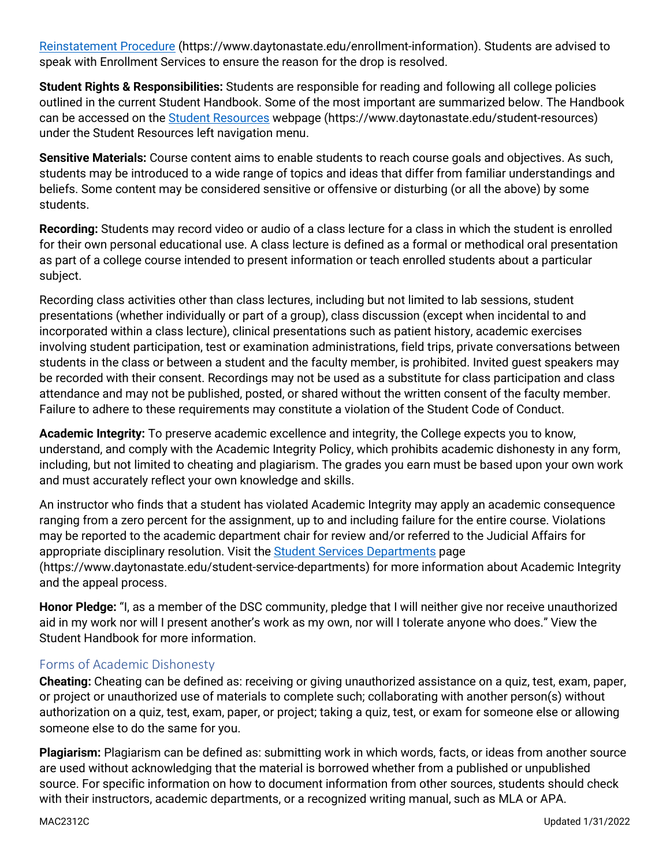[Reinstatement Procedure](https://www.daytonastate.edu/enrollment-information/index.html) (https://www.daytonastate.edu/enrollment-information). Students are advised to speak with Enrollment Services to ensure the reason for the drop is resolved.

**Student Rights & Responsibilities:** Students are responsible for reading and following all college policies outlined in the current Student Handbook. Some of the most important are summarized below. The Handbook can be accessed on the [Student Resources](https://www.daytonastate.edu/student-resources) webpage (https://www.daytonastate.edu/student-resources) under the Student Resources left navigation menu.

**Sensitive Materials:** Course content aims to enable students to reach course goals and objectives. As such, students may be introduced to a wide range of topics and ideas that differ from familiar understandings and beliefs. Some content may be considered sensitive or offensive or disturbing (or all the above) by some students.

**Recording:** Students may record video or audio of a class lecture for a class in which the student is enrolled for their own personal educational use. A class lecture is defined as a formal or methodical oral presentation as part of a college course intended to present information or teach enrolled students about a particular subject.

Recording class activities other than class lectures, including but not limited to lab sessions, student presentations (whether individually or part of a group), class discussion (except when incidental to and incorporated within a class lecture), clinical presentations such as patient history, academic exercises involving student participation, test or examination administrations, field trips, private conversations between students in the class or between a student and the faculty member, is prohibited. Invited guest speakers may be recorded with their consent. Recordings may not be used as a substitute for class participation and class attendance and may not be published, posted, or shared without the written consent of the faculty member. Failure to adhere to these requirements may constitute a violation of the Student Code of Conduct.

**Academic Integrity:** To preserve academic excellence and integrity, the College expects you to know, understand, and comply with the Academic Integrity Policy, which prohibits academic dishonesty in any form, including, but not limited to cheating and plagiarism. The grades you earn must be based upon your own work and must accurately reflect your own knowledge and skills.

An instructor who finds that a student has violated Academic Integrity may apply an academic consequence ranging from a zero percent for the assignment, up to and including failure for the entire course. Violations may be reported to the academic department chair for review and/or referred to the Judicial Affairs for appropriate disciplinary resolution. Visit the [Student Services Departments](https://www.daytonastate.edu/student-service-departments) page (https://www.daytonastate.edu/student-service-departments) for more information about Academic Integrity and the appeal process.

**Honor Pledge:** "I, as a member of the DSC community, pledge that I will neither give nor receive unauthorized aid in my work nor will I present another's work as my own, nor will I tolerate anyone who does." View the Student Handbook for more information.

#### Forms of Academic Dishonesty

**Cheating:** Cheating can be defined as: receiving or giving unauthorized assistance on a quiz, test, exam, paper, or project or unauthorized use of materials to complete such; collaborating with another person(s) without authorization on a quiz, test, exam, paper, or project; taking a quiz, test, or exam for someone else or allowing someone else to do the same for you.

**Plagiarism:** Plagiarism can be defined as: submitting work in which words, facts, or ideas from another source are used without acknowledging that the material is borrowed whether from a published or unpublished source. For specific information on how to document information from other sources, students should check with their instructors, academic departments, or a recognized writing manual, such as MLA or APA.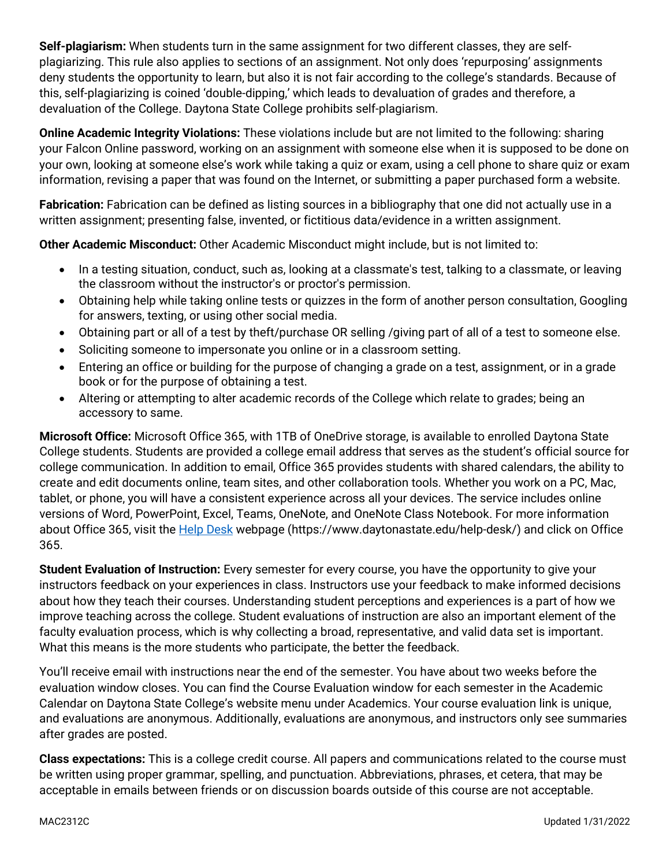**Self-plagiarism:** When students turn in the same assignment for two different classes, they are selfplagiarizing. This rule also applies to sections of an assignment. Not only does 'repurposing' assignments deny students the opportunity to learn, but also it is not fair according to the college's standards. Because of this, self-plagiarizing is coined 'double-dipping,' which leads to devaluation of grades and therefore, a devaluation of the College. Daytona State College prohibits self-plagiarism.

**Online Academic Integrity Violations:** These violations include but are not limited to the following: sharing your Falcon Online password, working on an assignment with someone else when it is supposed to be done on your own, looking at someone else's work while taking a quiz or exam, using a cell phone to share quiz or exam information, revising a paper that was found on the Internet, or submitting a paper purchased form a website.

**Fabrication:** Fabrication can be defined as listing sources in a bibliography that one did not actually use in a written assignment; presenting false, invented, or fictitious data/evidence in a written assignment.

**Other Academic Misconduct:** Other Academic Misconduct might include, but is not limited to:

- In a testing situation, conduct, such as, looking at a classmate's test, talking to a classmate, or leaving the classroom without the instructor's or proctor's permission.
- Obtaining help while taking online tests or quizzes in the form of another person consultation, Googling for answers, texting, or using other social media.
- Obtaining part or all of a test by theft/purchase OR selling /giving part of all of a test to someone else.
- Soliciting someone to impersonate you online or in a classroom setting.
- Entering an office or building for the purpose of changing a grade on a test, assignment, or in a grade book or for the purpose of obtaining a test.
- Altering or attempting to alter academic records of the College which relate to grades; being an accessory to same.

**Microsoft Office:** Microsoft Office 365, with 1TB of OneDrive storage, is available to enrolled Daytona State College students. Students are provided a college email address that serves as the student's official source for college communication. In addition to email, Office 365 provides students with shared calendars, the ability to create and edit documents online, team sites, and other collaboration tools. Whether you work on a PC, Mac, tablet, or phone, you will have a consistent experience across all your devices. The service includes online versions of Word, PowerPoint, Excel, Teams, OneNote, and OneNote Class Notebook. For more information about Office 365, visit the **Help Desk** webpage (https://www.daytonastate.edu/help-desk/) and click on Office 365.

**Student Evaluation of Instruction:** Every semester for every course, you have the opportunity to give your instructors feedback on your experiences in class. Instructors use your feedback to make informed decisions about how they teach their courses. Understanding student perceptions and experiences is a part of how we improve teaching across the college. Student evaluations of instruction are also an important element of the faculty evaluation process, which is why collecting a broad, representative, and valid data set is important. What this means is the more students who participate, the better the feedback.

You'll receive email with instructions near the end of the semester. You have about two weeks before the evaluation window closes. You can find the Course Evaluation window for each semester in the Academic Calendar on Daytona State College's website menu under Academics. Your course evaluation link is unique, and evaluations are anonymous. Additionally, evaluations are anonymous, and instructors only see summaries after grades are posted.

**Class expectations:** This is a college credit course. All papers and communications related to the course must be written using proper grammar, spelling, and punctuation. Abbreviations, phrases, et cetera, that may be acceptable in emails between friends or on discussion boards outside of this course are not acceptable.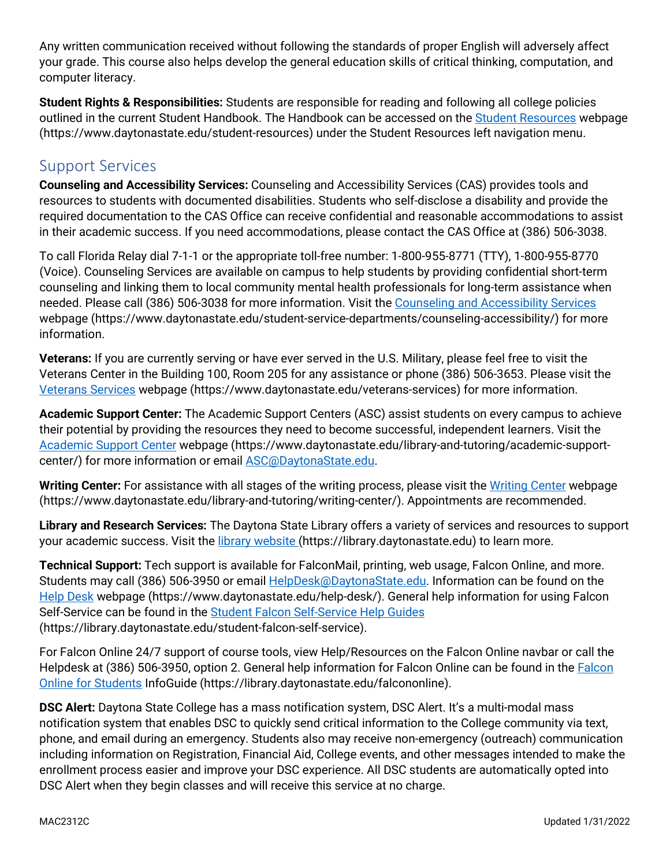Any written communication received without following the standards of proper English will adversely affect your grade. This course also helps develop the general education skills of critical thinking, computation, and computer literacy.

**Student Rights & Responsibilities:** Students are responsible for reading and following all college policies outlined in the current Student Handbook. The Handbook can be accessed on the [Student Resources](https://www.daytonastate.edu/student-resources) webpage (https://www.daytonastate.edu/student-resources) under the Student Resources left navigation menu.

# Support Services

**Counseling and Accessibility Services:** Counseling and Accessibility Services (CAS) provides tools and resources to students with documented disabilities. Students who self-disclose a disability and provide the required documentation to the CAS Office can receive confidential and reasonable accommodations to assist in their academic success. If you need accommodations, please contact the CAS Office at (386) 506-3038.

To call Florida Relay dial 7-1-1 or the appropriate toll-free number: 1-800-955-8771 (TTY), 1-800-955-8770 (Voice). Counseling Services are available on campus to help students by providing confidential short-term counseling and linking them to local community mental health professionals for long-term assistance when needed. Please call (386) 506-3038 for more information. Visit the [Counseling and Accessibility Services](https://www.daytonastate.edu/student-service-departments/counseling-accessibility/) webpage (https://www.daytonastate.edu/student-service-departments/counseling-accessibility/) for more information.

**Veterans:** If you are currently serving or have ever served in the U.S. Military, please feel free to visit the Veterans Center in the Building 100, Room 205 for any assistance or phone (386) 506-3653. Please visit the [Veterans Services](https://www.daytonastate.edu/veterans-services) webpage (https://www.daytonastate.edu/veterans-services) for more information.

**Academic Support Center:** The Academic Support Centers (ASC) assist students on every campus to achieve their potential by providing the resources they need to become successful, independent learners. Visit the [Academic Support Center](https://www.daytonastate.edu/library-and-tutoring/academic-support-center/index.html) webpage (https://www.daytonastate.edu/library-and-tutoring/academic-supportcenter/) for more information or email [ASC@DaytonaState.edu.](mailto:ASC@DaytonaState.edu)

**Writing Center:** For assistance with all stages of the writing process, please visit the [Writing Center](https://www.daytonastate.edu/library-and-tutoring/writing-center/) webpage (https://www.daytonastate.edu/library-and-tutoring/writing-center/). Appointments are recommended.

**Library and Research Services:** The Daytona State Library offers a variety of services and resources to support your academic success. Visit the *library website* (https://library.daytonastate.edu) to learn more.

**Technical Support:** Tech support is available for FalconMail, printing, web usage, Falcon Online, and more. Students may call (386) 506-3950 or email [HelpDesk@DaytonaState.edu.](mailto:HelpDesk@DaytonaState.edu) Information can be found on the [Help Desk](https://www.daytonastate.edu/help-desk/) webpage (https://www.daytonastate.edu/help-desk/). General help information for using Falcon Self-Service can be found in the [Student Falcon Self-Service Help Guides](https://library.daytonastate.edu/student-falcon-self-service) (https://library.daytonastate.edu/student-falcon-self-service).

For Falcon Online 24/7 support of course tools, view Help/Resources on the Falcon Online navbar or call the Helpdesk at (386) 506-3950, option 2. General help information for Falcon Online can be found in the [Falcon](https://library.daytonastate.edu/falcononline)  [Online for Students](https://library.daytonastate.edu/falcononline) InfoGuide (https://library.daytonastate.edu/falcononline).

**DSC Alert:** Daytona State College has a mass notification system, DSC Alert. It's a multi-modal mass notification system that enables DSC to quickly send critical information to the College community via text, phone, and email during an emergency. Students also may receive non-emergency (outreach) communication including information on Registration, Financial Aid, College events, and other messages intended to make the enrollment process easier and improve your DSC experience. All DSC students are automatically opted into DSC Alert when they begin classes and will receive this service at no charge.